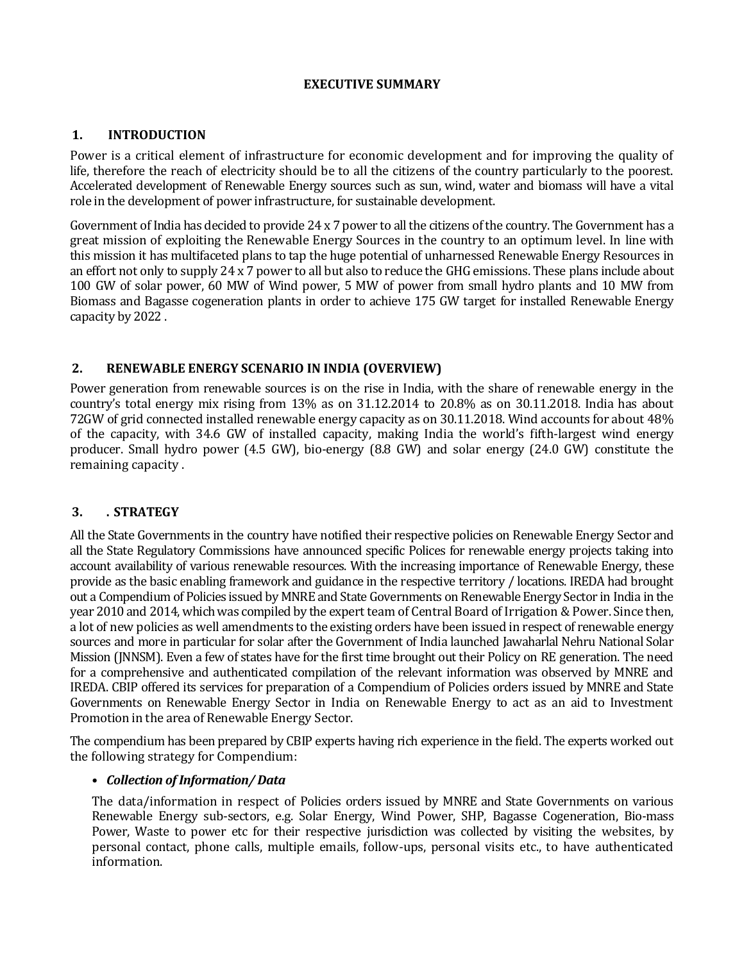## **EXECUTIVE SUMMARY**

#### **1. INTRODUCTION**

Power is a critical element of infrastructure for economic development and for improving the quality of life, therefore the reach of electricity should be to all the citizens of the country particularly to the poorest. Accelerated development of Renewable Energy sources such as sun, wind, water and biomass will have a vital role in the development of power infrastructure, for sustainable development.

Government of India has decided to provide 24 x 7 power to all the citizens of the country. The Government has a great mission of exploiting the Renewable Energy Sources in the country to an optimum level. In line with this mission it has multifaceted plans to tap the huge potential of unharnessed Renewable Energy Resources in an effort not only to supply 24 x 7 power to all but also to reduce the GHG emissions. These plans include about 100 GW of solar power, 60 MW of Wind power, 5 MW of power from small hydro plants and 10 MW from Biomass and Bagasse cogeneration plants in order to achieve 175 GW target for installed Renewable Energy capacity by 2022 .

## **2. RENEWABLE ENERGY SCENARIO IN INDIA (OVERVIEW)**

Power generation from renewable sources is on the rise in India, with the share of renewable energy in the country's total energy mix rising from 13% as on 31.12.2014 to 20.8% as on 30.11.2018. India has about 72GW of grid connected installed renewable energy capacity as on 30.11.2018. Wind accounts for about 48% of the capacity, with 34.6 GW of installed capacity, making India the world's fifth-largest wind energy producer. Small hydro power (4.5 GW), bio-energy (8.8 GW) and solar energy (24.0 GW) constitute the remaining capacity .

## **3. . STRATEGY**

All the State Governments in the country have notified their respective policies on Renewable Energy Sector and all the State Regulatory Commissions have announced specific Polices for renewable energy projects taking into account availability of various renewable resources. With the increasing importance of Renewable Energy, these provide as the basic enabling framework and guidance in the respective territory / locations. IREDA had brought out a Compendium of Policies issued by MNRE and State Governments on Renewable Energy Sector in India in the year 2010 and 2014, which was compiled by the expert team of Central Board of Irrigation & Power. Since then, a lot of new policies as well amendments to the existing orders have been issued in respect of renewable energy sources and more in particular for solar after the Government of India launched Jawaharlal Nehru National Solar Mission (JNNSM). Even a few of states have for the first time brought out their Policy on RE generation. The need for a comprehensive and authenticated compilation of the relevant information was observed by MNRE and IREDA. CBIP offered its services for preparation of a Compendium of Policies orders issued by MNRE and State Governments on Renewable Energy Sector in India on Renewable Energy to act as an aid to Investment Promotion in the area of Renewable Energy Sector.

The compendium has been prepared by CBIP experts having rich experience in the field. The experts worked out the following strategy for Compendium:

#### **•** *Collection of Information/ Data*

The data/information in respect of Policies orders issued by MNRE and State Governments on various Renewable Energy sub-sectors, e.g. Solar Energy, Wind Power, SHP, Bagasse Cogeneration, Bio-mass Power, Waste to power etc for their respective jurisdiction was collected by visiting the websites, by personal contact, phone calls, multiple emails, follow-ups, personal visits etc., to have authenticated information.